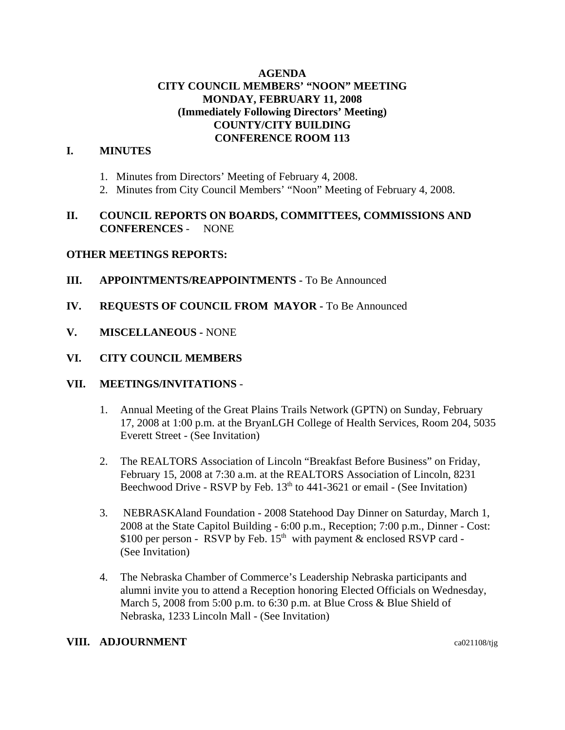# **AGENDA CITY COUNCIL MEMBERS' "NOON" MEETING MONDAY, FEBRUARY 11, 2008 (Immediately Following Directors' Meeting) COUNTY/CITY BUILDING CONFERENCE ROOM 113**

## **I. MINUTES**

- 1. Minutes from Directors' Meeting of February 4, 2008.
- 2. Minutes from City Council Members' "Noon" Meeting of February 4, 2008.

# **II. COUNCIL REPORTS ON BOARDS, COMMITTEES, COMMISSIONS AND CONFERENCES** - NONE

## **OTHER MEETINGS REPORTS:**

- **III.** APPOINTMENTS/REAPPOINTMENTS To Be Announced
- **IV. REQUESTS OF COUNCIL FROM MAYOR -** To Be Announced
- **V. MISCELLANEOUS -** NONE

### **VI. CITY COUNCIL MEMBERS**

#### **VII. MEETINGS/INVITATIONS** -

- 1. Annual Meeting of the Great Plains Trails Network (GPTN) on Sunday, February 17, 2008 at 1:00 p.m. at the BryanLGH College of Health Services, Room 204, 5035 Everett Street - (See Invitation)
- 2. The REALTORS Association of Lincoln "Breakfast Before Business" on Friday, February 15, 2008 at 7:30 a.m. at the REALTORS Association of Lincoln, 8231 Beechwood Drive - RSVP by Feb.  $13<sup>th</sup>$  to 441-3621 or email - (See Invitation)
- 3. NEBRASKAland Foundation 2008 Statehood Day Dinner on Saturday, March 1, 2008 at the State Capitol Building - 6:00 p.m., Reception; 7:00 p.m., Dinner - Cost: \$100 per person - RSVP by Feb.  $15<sup>th</sup>$  with payment & enclosed RSVP card -(See Invitation)
- 4. The Nebraska Chamber of Commerce's Leadership Nebraska participants and alumni invite you to attend a Reception honoring Elected Officials on Wednesday, March 5, 2008 from 5:00 p.m. to 6:30 p.m. at Blue Cross & Blue Shield of Nebraska, 1233 Lincoln Mall - (See Invitation)

### **VIII. ADJOURNMENT** ca021108/tjg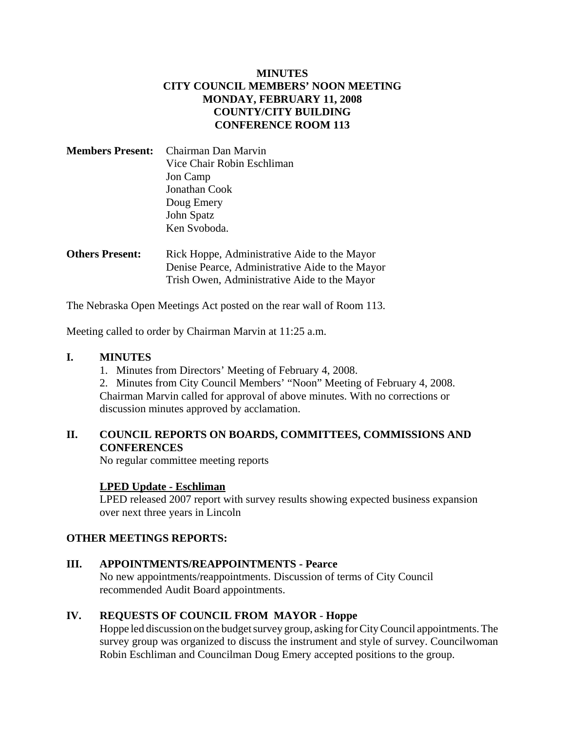# **MINUTES CITY COUNCIL MEMBERS' NOON MEETING MONDAY, FEBRUARY 11, 2008 COUNTY/CITY BUILDING CONFERENCE ROOM 113**

| <b>Members Present:</b> Chairman Dan Marvin |
|---------------------------------------------|
| Vice Chair Robin Eschliman                  |
| Jon Camp                                    |
| Jonathan Cook                               |
| Doug Emery                                  |
| John Spatz                                  |
| Ken Svoboda.                                |
|                                             |

**Others Present:** Rick Hoppe, Administrative Aide to the Mayor Denise Pearce, Administrative Aide to the Mayor Trish Owen, Administrative Aide to the Mayor

The Nebraska Open Meetings Act posted on the rear wall of Room 113.

Meeting called to order by Chairman Marvin at 11:25 a.m.

## **I. MINUTES**

1. Minutes from Directors' Meeting of February 4, 2008.

2. Minutes from City Council Members' "Noon" Meeting of February 4, 2008. Chairman Marvin called for approval of above minutes. With no corrections or discussion minutes approved by acclamation.

# **II. COUNCIL REPORTS ON BOARDS, COMMITTEES, COMMISSIONS AND CONFERENCES**

No regular committee meeting reports

## **LPED Update - Eschliman**

LPED released 2007 report with survey results showing expected business expansion over next three years in Lincoln

#### **OTHER MEETINGS REPORTS:**

#### **III. APPOINTMENTS/REAPPOINTMENTS - Pearce**

No new appointments/reappointments. Discussion of terms of City Council recommended Audit Board appointments.

## **IV. REQUESTS OF COUNCIL FROM MAYOR** - **Hoppe**

Hoppe led discussion on the budget survey group, asking for City Council appointments. The survey group was organized to discuss the instrument and style of survey. Councilwoman Robin Eschliman and Councilman Doug Emery accepted positions to the group.